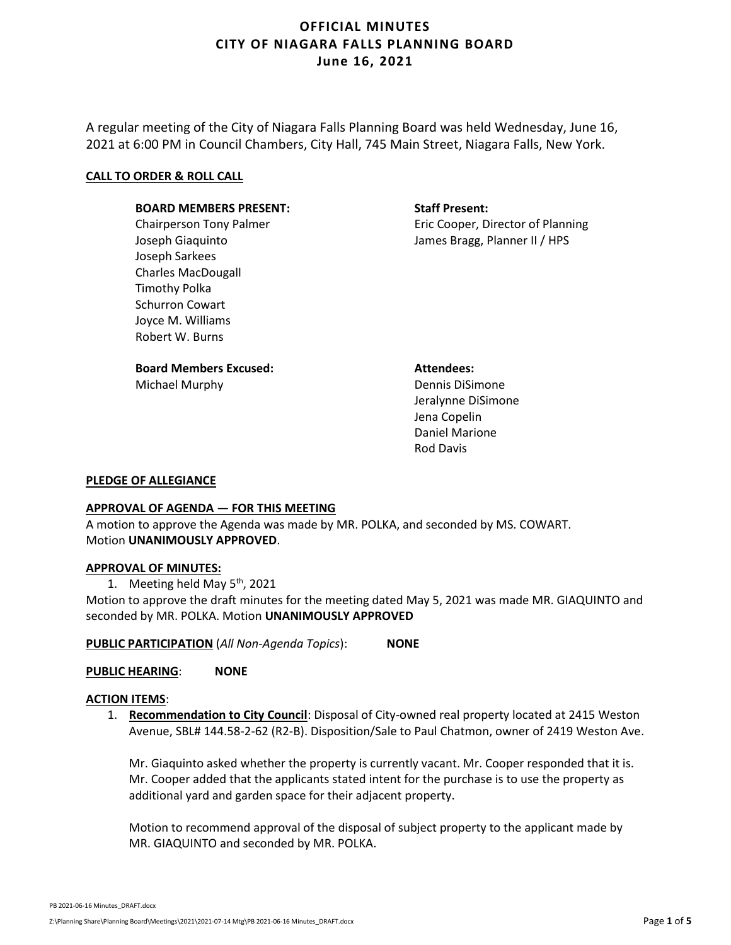A regular meeting of the City of Niagara Falls Planning Board was held Wednesday, June 16, 2021 at 6:00 PM in Council Chambers, City Hall, 745 Main Street, Niagara Falls, New York.

#### **CALL TO ORDER & ROLL CALL**

#### **BOARD MEMBERS PRESENT:**

Chairperson Tony Palmer Joseph Giaquinto Joseph Sarkees Charles MacDougall Timothy Polka Schurron Cowart Joyce M. Williams Robert W. Burns

## **Board Members Excused:**

Michael Murphy

### **Staff Present:**

Eric Cooper, Director of Planning James Bragg, Planner II / HPS

**Attendees:** Dennis DiSimone Jeralynne DiSimone Jena Copelin

Daniel Marione Rod Davis

### **PLEDGE OF ALLEGIANCE**

### **APPROVAL OF AGENDA — FOR THIS MEETING**

A motion to approve the Agenda was made by MR. POLKA, and seconded by MS. COWART. Motion **UNANIMOUSLY APPROVED**.

#### **APPROVAL OF MINUTES:**

1. Meeting held May 5<sup>th</sup>, 2021

Motion to approve the draft minutes for the meeting dated May 5, 2021 was made MR. GIAQUINTO and seconded by MR. POLKA. Motion **UNANIMOUSLY APPROVED**

**PUBLIC PARTICIPATION** (*All Non-Agenda Topics*): **NONE**

**PUBLIC HEARING**: **NONE**

#### **ACTION ITEMS**:

1. **Recommendation to City Council**: Disposal of City-owned real property located at 2415 Weston Avenue, SBL# 144.58-2-62 (R2-B). Disposition/Sale to Paul Chatmon, owner of 2419 Weston Ave.

Mr. Giaquinto asked whether the property is currently vacant. Mr. Cooper responded that it is. Mr. Cooper added that the applicants stated intent for the purchase is to use the property as additional yard and garden space for their adjacent property.

Motion to recommend approval of the disposal of subject property to the applicant made by MR. GIAQUINTO and seconded by MR. POLKA.

PB 2021-06-16 Minutes\_DRAFT.docx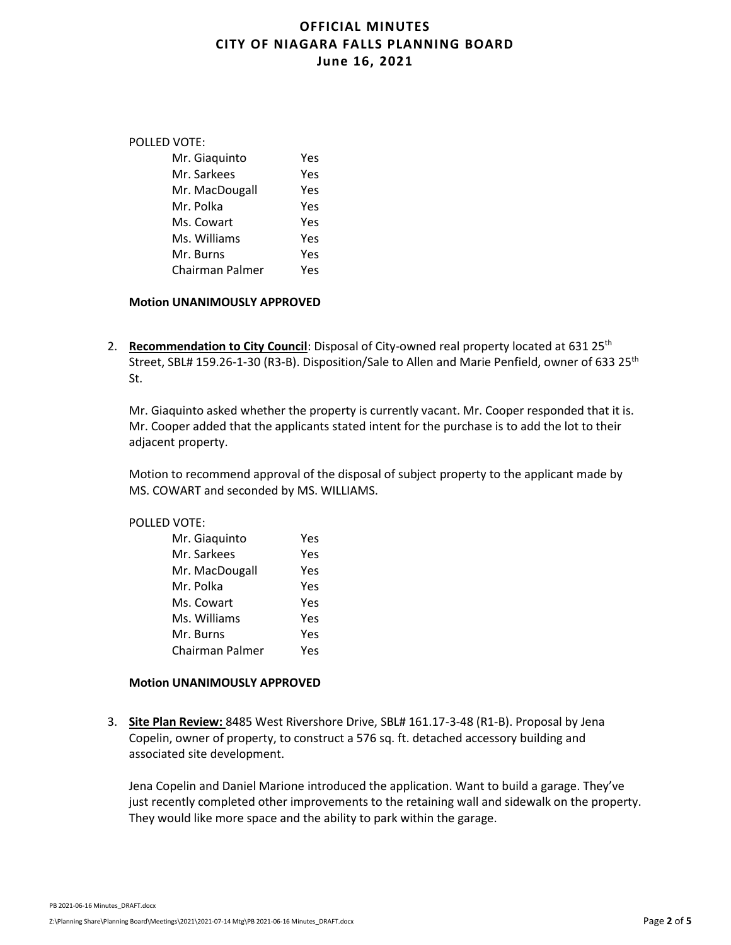| POLLED VOTE: |                 |     |
|--------------|-----------------|-----|
|              | Mr. Giaquinto   | Yes |
|              | Mr. Sarkees     | Yes |
|              | Mr. MacDougall  | Yes |
|              | Mr. Polka       | Yes |
|              | Ms. Cowart      | Yes |
|              | Ms. Williams    | Yes |
|              | Mr. Burns       | Yes |
|              | Chairman Palmer | Υρς |
|              |                 |     |

#### **Motion UNANIMOUSLY APPROVED**

2. **Recommendation to City Council**: Disposal of City-owned real property located at 631 25<sup>th</sup> Street, SBL# 159.26-1-30 (R3-B). Disposition/Sale to Allen and Marie Penfield, owner of 633 25<sup>th</sup> St.

Mr. Giaquinto asked whether the property is currently vacant. Mr. Cooper responded that it is. Mr. Cooper added that the applicants stated intent for the purchase is to add the lot to their adjacent property.

Motion to recommend approval of the disposal of subject property to the applicant made by MS. COWART and seconded by MS. WILLIAMS.

#### POLLED VOTE:

| Mr. Giaquinto          | Yes |
|------------------------|-----|
| Mr. Sarkees            | Yes |
| Mr. MacDougall         | Yes |
| Mr. Polka              | Yes |
| Ms. Cowart             | Yes |
| Ms. Williams           | Yes |
| Mr. Burns              | Yes |
| <b>Chairman Palmer</b> | Υρς |

#### **Motion UNANIMOUSLY APPROVED**

3. **Site Plan Review:** 8485 West Rivershore Drive, SBL# 161.17-3-48 (R1-B). Proposal by Jena Copelin, owner of property, to construct a 576 sq. ft. detached accessory building and associated site development.

Jena Copelin and Daniel Marione introduced the application. Want to build a garage. They've just recently completed other improvements to the retaining wall and sidewalk on the property. They would like more space and the ability to park within the garage.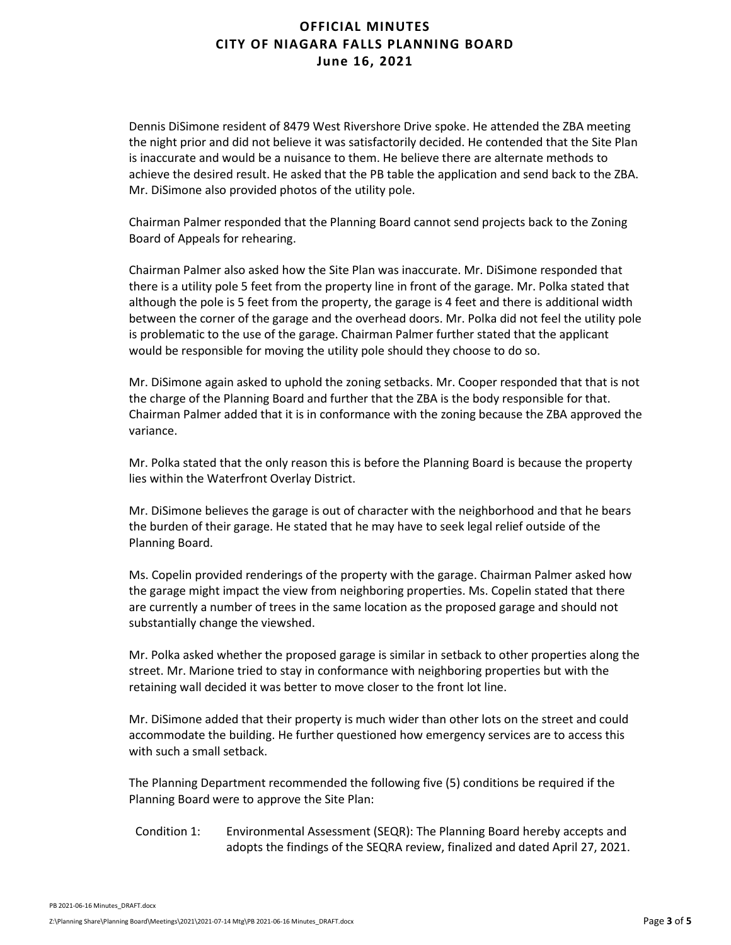Dennis DiSimone resident of 8479 West Rivershore Drive spoke. He attended the ZBA meeting the night prior and did not believe it was satisfactorily decided. He contended that the Site Plan is inaccurate and would be a nuisance to them. He believe there are alternate methods to achieve the desired result. He asked that the PB table the application and send back to the ZBA. Mr. DiSimone also provided photos of the utility pole.

Chairman Palmer responded that the Planning Board cannot send projects back to the Zoning Board of Appeals for rehearing.

Chairman Palmer also asked how the Site Plan was inaccurate. Mr. DiSimone responded that there is a utility pole 5 feet from the property line in front of the garage. Mr. Polka stated that although the pole is 5 feet from the property, the garage is 4 feet and there is additional width between the corner of the garage and the overhead doors. Mr. Polka did not feel the utility pole is problematic to the use of the garage. Chairman Palmer further stated that the applicant would be responsible for moving the utility pole should they choose to do so.

Mr. DiSimone again asked to uphold the zoning setbacks. Mr. Cooper responded that that is not the charge of the Planning Board and further that the ZBA is the body responsible for that. Chairman Palmer added that it is in conformance with the zoning because the ZBA approved the variance.

Mr. Polka stated that the only reason this is before the Planning Board is because the property lies within the Waterfront Overlay District.

Mr. DiSimone believes the garage is out of character with the neighborhood and that he bears the burden of their garage. He stated that he may have to seek legal relief outside of the Planning Board.

Ms. Copelin provided renderings of the property with the garage. Chairman Palmer asked how the garage might impact the view from neighboring properties. Ms. Copelin stated that there are currently a number of trees in the same location as the proposed garage and should not substantially change the viewshed.

Mr. Polka asked whether the proposed garage is similar in setback to other properties along the street. Mr. Marione tried to stay in conformance with neighboring properties but with the retaining wall decided it was better to move closer to the front lot line.

Mr. DiSimone added that their property is much wider than other lots on the street and could accommodate the building. He further questioned how emergency services are to access this with such a small setback.

The Planning Department recommended the following five (5) conditions be required if the Planning Board were to approve the Site Plan:

Condition 1: Environmental Assessment (SEQR): The Planning Board hereby accepts and adopts the findings of the SEQRA review, finalized and dated April 27, 2021.

PB 2021-06-16 Minutes\_DRAFT.docx Z:\Planning Share\Planning Board\Meetings\2021\2021-07-14 Mtg\PB 2021-06-16 Minutes\_DRAFT.docx Page **3** of **5**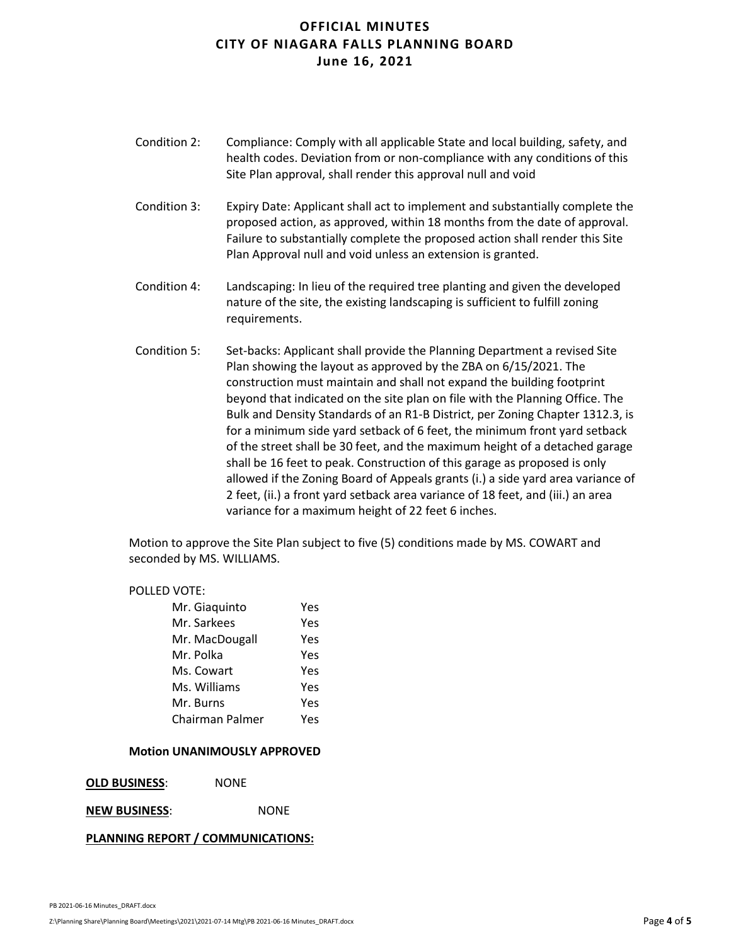- Condition 2: Compliance: Comply with all applicable State and local building, safety, and health codes. Deviation from or non-compliance with any conditions of this Site Plan approval, shall render this approval null and void
- Condition 3: Expiry Date: Applicant shall act to implement and substantially complete the proposed action, as approved, within 18 months from the date of approval. Failure to substantially complete the proposed action shall render this Site Plan Approval null and void unless an extension is granted.
- Condition 4: Landscaping: In lieu of the required tree planting and given the developed nature of the site, the existing landscaping is sufficient to fulfill zoning requirements.
- Condition 5: Set-backs: Applicant shall provide the Planning Department a revised Site Plan showing the layout as approved by the ZBA on 6/15/2021. The construction must maintain and shall not expand the building footprint beyond that indicated on the site plan on file with the Planning Office. The Bulk and Density Standards of an R1-B District, per Zoning Chapter 1312.3, is for a minimum side yard setback of 6 feet, the minimum front yard setback of the street shall be 30 feet, and the maximum height of a detached garage shall be 16 feet to peak. Construction of this garage as proposed is only allowed if the Zoning Board of Appeals grants (i.) a side yard area variance of 2 feet, (ii.) a front yard setback area variance of 18 feet, and (iii.) an area variance for a maximum height of 22 feet 6 inches.

Motion to approve the Site Plan subject to five (5) conditions made by MS. COWART and seconded by MS. WILLIAMS.

#### POLLED VOTE:

| Mr. Giaquinto   | Υρς |
|-----------------|-----|
| Mr. Sarkees     | Yes |
| Mr. MacDougall  | Yes |
| Mr. Polka       | Yes |
| Ms. Cowart      | Yes |
| Ms. Williams    | Yes |
| Mr. Burns       | Yes |
| Chairman Palmer | Υρς |

#### **Motion UNANIMOUSLY APPROVED**

**OLD BUSINESS**: NONE

### **NEW BUSINESS**: NONE

### **PLANNING REPORT / COMMUNICATIONS:**